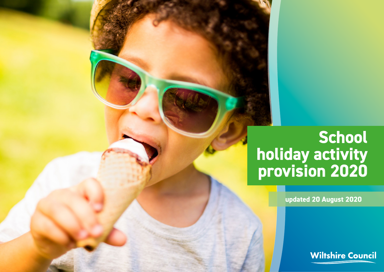## **School holiday activity provision 2020**

**updated 20 August 2020**

**Wiltshire Council**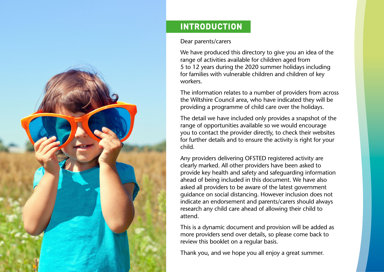

## INTRODUCTION

## Dear parents/carers

We have produced this directory to give you an idea of the range of activities available for children aged from 5 to 12 years during the 2020 summer holidays including for families with vulnerable children and children of key workers.

The information relates to a number of providers from across the Wiltshire Council area, who have indicated they will be providing a programme of child care over the holidays.

The detail we have included only provides a snapshot of the range of opportunities available so we would encourage you to contact the provider directly, to check their websites for further details and to ensure the activity is right for your child.

Any providers delivering OFSTED registered activity are clearly marked. All other providers have been asked to provide key health and safety and safeguarding information ahead of being included in this document. We have also asked all providers to be aware of the latest government guidance on social distancing. However inclusion does not indicate an endorsement and parents/carers should always research any child care ahead of allowing their child to attend.

This is a dynamic document and provision will be added as more providers send over details, so please come back to review this booklet on a regular basis.

Thank you, and we hope you all enjoy a great summer.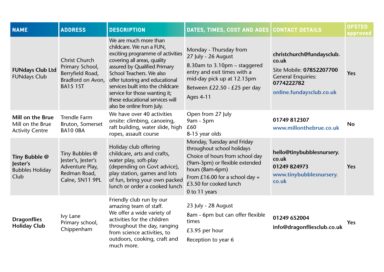| <b>NAME</b>                                                           | <b>ADDRESS</b>                                                                                      | <b>DESCRIPTION</b>                                                                                                                                                                                                                                                                                                                                       | DATES, TIMES, COST AND AGES                                                                                                                                                                                                   | <b>CONTACT DETAILS</b>                                                                                                                | <b>OFSTED</b><br>approved |
|-----------------------------------------------------------------------|-----------------------------------------------------------------------------------------------------|----------------------------------------------------------------------------------------------------------------------------------------------------------------------------------------------------------------------------------------------------------------------------------------------------------------------------------------------------------|-------------------------------------------------------------------------------------------------------------------------------------------------------------------------------------------------------------------------------|---------------------------------------------------------------------------------------------------------------------------------------|---------------------------|
| <b>FUNdays Club Ltd</b><br><b>FUNdays Club</b>                        | <b>Christ Church</b><br>Primary School,<br>Berryfield Road,<br>Bradford on Avon,<br><b>BA15 1ST</b> | We are much more than<br>childcare. We run a FUN,<br>exciting programme of activities<br>covering all areas, quality<br>assured by Qualified Primary<br>School Teachers. We also<br>offer tutoring and educational<br>services built into the childcare<br>service for those wanting it;<br>these educational services will<br>also be online from July. | Monday - Thursday from<br>27 July - 26 August<br>8.30am to 3.10pm – staggered<br>entry and exit times with a<br>mid-day pick up at 12.15pm<br>Between £22.50 - £25 per day<br><b>Ages 4-11</b>                                | christchurch@fundaysclub.<br>co.uk<br>Site Mobile: 07852207700<br><b>General Enquiries:</b><br>0774222782<br>online.fundaysclub.co.uk | Yes                       |
| <b>Mill on the Brue</b><br>Mill on the Brue<br><b>Activity Centre</b> | <b>Trendle Farm</b><br>Bruton, Somerset<br>BA10 OBA                                                 | We have over 40 activities<br>onsite: climbing, canoeing,<br>raft building, water slide, high<br>ropes, assault course                                                                                                                                                                                                                                   | Open from 27 July<br>9am - 5pm<br>£60<br>8-15 year olds                                                                                                                                                                       | 01749 812307<br>www.millonthebrue.co.uk                                                                                               | <b>No</b>                 |
| Tiny Bubble @<br>Jester's<br><b>Bubbles Holiday</b><br>Club           | Tiny Bubbles @<br>Jester's, Jester's<br>Adventure Play,<br>Redman Road,<br>Calne, SN11 9PL          | Holiday club offering<br>childcare, arts and crafts,<br>water play, soft-play<br>(depending on Govt advice),<br>play station, games and lots<br>of fun, bring your own packed<br>lunch or order a cooked lunch                                                                                                                                           | Monday, Tuesday and Friday<br>throughout school holidays<br>Choice of hours from school day<br>(9am-3pm) or flexible extended<br>hours (8am-6pm)<br>From £16.00 for a school day +<br>£3.50 for cooked lunch<br>0 to 11 years | hello@tinybubblesnursery.<br>co.uk<br>01249 824973<br>www.tinybubblesnursery.<br>co.uk                                                | <b>Yes</b>                |
| <b>Dragonflies</b><br><b>Holiday Club</b>                             | Ivy Lane<br>Primary school,<br>Chippenham                                                           | Friendly club run by our<br>amazing team of staff.<br>We offer a wide variety of<br>activities for the children<br>throughout the day, ranging<br>from science activities, to<br>outdoors, cooking, craft and<br>much more.                                                                                                                              | 23 July - 28 August<br>8am - 6pm but can offer flexible<br>times<br>£3.95 per hour<br>Reception to year 6                                                                                                                     | 01249 652004<br>info@dragonfliesclub.co.uk                                                                                            | <b>Yes</b>                |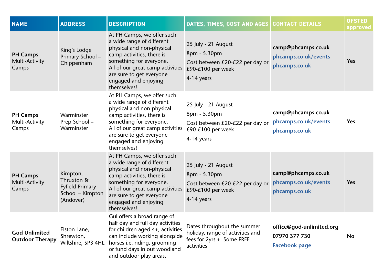| <b>NAME</b>                                    | <b>ADDRESS</b>                                                                    | <b>DESCRIPTION</b>                                                                                                                                                                                                                                  | DATES, TIMES, COST AND AGES CONTACT DETAILS                                                                 |                                                                   | <b>OFSTED</b><br>approved |
|------------------------------------------------|-----------------------------------------------------------------------------------|-----------------------------------------------------------------------------------------------------------------------------------------------------------------------------------------------------------------------------------------------------|-------------------------------------------------------------------------------------------------------------|-------------------------------------------------------------------|---------------------------|
| <b>PH Camps</b><br>Multi-Activity<br>Camps     | King's Lodge<br>Primary School-<br>Chippenham                                     | At PH Camps, we offer such<br>a wide range of different<br>physical and non-physical<br>camp activities, there is<br>something for everyone.<br>All of our great camp activities<br>are sure to get everyone<br>engaged and enjoying<br>themselves! | 25 July - 21 August<br>8pm - 5.30pm<br>Cost between £20-£22 per day or<br>£90-£100 per week<br>4-14 years   | camp@phcamps.co.uk<br>phcamps.co.uk/events<br>phcamps.co.uk       | Yes                       |
| <b>PH Camps</b><br>Multi-Activity<br>Camps     | Warminster<br>Prep School -<br>Warminster                                         | At PH Camps, we offer such<br>a wide range of different<br>physical and non-physical<br>camp activities, there is<br>something for everyone.<br>All of our great camp activities<br>are sure to get everyone<br>engaged and enjoying<br>themselves! | 25 July - 21 August<br>8pm - 5.30pm<br>Cost between £20-£22 per day or<br>£90-£100 per week<br>4-14 years   | camp@phcamps.co.uk<br>phcamps.co.uk/events<br>phcamps.co.uk       | <b>Yes</b>                |
| <b>PH Camps</b><br>Multi-Activity<br>Camps     | Kimpton,<br>Thruxton &<br><b>Fyfield Primary</b><br>School - Kimpton<br>(Andover) | At PH Camps, we offer such<br>a wide range of different<br>physical and non-physical<br>camp activities, there is<br>something for everyone.<br>All of our great camp activities<br>are sure to get everyone<br>engaged and enjoying<br>themselves! | 25 July - 21 August<br>8pm - 5.30pm<br>Cost between £20-£22 per day or<br>£90-£100 per week<br>4-14 years   | camp@phcamps.co.uk<br>phcamps.co.uk/events<br>phcamps.co.uk       | <b>Yes</b>                |
| <b>God Unlimited</b><br><b>Outdoor Therapy</b> | Elston Lane,<br>Shrewton,<br>Wiltshire, SP3 4HL                                   | Gul offers a broad range of<br>half day and full day activities<br>for children aged 4+, activities<br>can include working alongside<br>horses i.e. riding, grooming<br>or fund days in out woodland<br>and outdoor play areas.                     | Dates throughout the summer<br>holiday, range of activities and<br>fees for 2yrs +. Some FREE<br>activities | office@god-unlimited.org<br>07970 377 730<br><b>Facebook page</b> | <b>No</b>                 |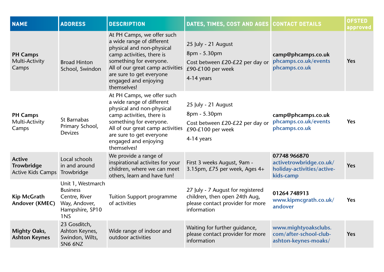| <b>NAME</b>                                                    | <b>ADDRESS</b>                                                                                   | <b>DESCRIPTION</b>                                                                                                                                                                                                                                  | DATES, TIMES, COST AND AGES                                                                                           | <b>CONTACT DETAILS</b>                                                             | <b>OFSTED</b><br>approved |
|----------------------------------------------------------------|--------------------------------------------------------------------------------------------------|-----------------------------------------------------------------------------------------------------------------------------------------------------------------------------------------------------------------------------------------------------|-----------------------------------------------------------------------------------------------------------------------|------------------------------------------------------------------------------------|---------------------------|
| <b>PH Camps</b><br>Multi-Activity<br>Camps                     | <b>Broad Hinton</b><br>School, Swindon                                                           | At PH Camps, we offer such<br>a wide range of different<br>physical and non-physical<br>camp activities, there is<br>something for everyone.<br>All of our great camp activities<br>are sure to get everyone<br>engaged and enjoying<br>themselves! | 25 July - 21 August<br>8pm - 5.30pm<br>Cost between £20-£22 per day or<br>£90-£100 per week<br>4-14 years             | camp@phcamps.co.uk<br>phcamps.co.uk/events<br>phcamps.co.uk                        | <b>Yes</b>                |
| <b>PH Camps</b><br>Multi-Activity<br>Camps                     | St Barnabas<br>Primary School,<br><b>Devizes</b>                                                 | At PH Camps, we offer such<br>a wide range of different<br>physical and non-physical<br>camp activities, there is<br>something for everyone.<br>All of our great camp activities<br>are sure to get everyone<br>engaged and enjoying<br>themselves! | 25 July - 21 August<br>8pm - 5.30pm<br>Cost between £20-£22 per day or<br>£90-£100 per week<br>4-14 years             | camp@phcamps.co.uk<br>phcamps.co.uk/events<br>phcamps.co.uk                        | Yes                       |
| <b>Active</b><br><b>Trowbridge</b><br><b>Active Kids Camps</b> | Local schools<br>in and around<br>Trowbridge                                                     | We provide a range of<br>inspirational activites for your<br>children, where we can meet<br>others, learn and have fun!                                                                                                                             | First 3 weeks August, 9am -<br>3.15pm, £75 per week, Ages 4+                                                          | 07748 966870<br>activetrowbridge.co.uk/<br>holiday-activities/active-<br>kids-camp | <b>Yes</b>                |
| <b>Kip McGrath</b><br>Andover (KMEC)                           | Unit 1, Westmarch<br><b>Business</b><br>Centre, River<br>Way, Andover,<br>Hampshire, SP10<br>1NS | Tuition Support programme<br>of activities                                                                                                                                                                                                          | 27 July - 7 August for registered<br>children, then open 24th Aug,<br>please contact provider for more<br>information | 01264 748913<br>www.kipmcgrath.co.uk/<br>andover                                   | Yes                       |
| <b>Mighty Oaks,</b><br><b>Ashton Keynes</b>                    | 23 Gosditch,<br>Ashton Keynes,<br>Swindon, Wilts,<br>SN6 6NZ                                     | Wide range of indoor and<br>outdoor activities                                                                                                                                                                                                      | Waiting for further guidance,<br>please contact provider for more<br>information                                      | www.mightyoaksclubs.<br>com/after-school-club-<br>ashton-keynes-moaks/             | <b>Yes</b>                |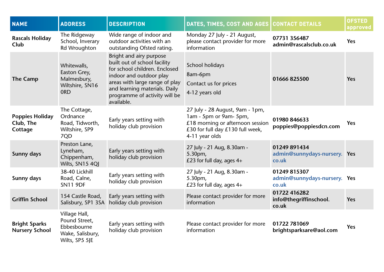| <b>NAME</b>                                    | <b>ADDRESS</b>                                                                      | <b>DESCRIPTION</b>                                                                                                                                                                                                                    | DATES, TIMES, COST AND AGES                                                                                                                         | <b>CONTACT DETAILS</b>                                | <b>OFSTED</b><br>approved |
|------------------------------------------------|-------------------------------------------------------------------------------------|---------------------------------------------------------------------------------------------------------------------------------------------------------------------------------------------------------------------------------------|-----------------------------------------------------------------------------------------------------------------------------------------------------|-------------------------------------------------------|---------------------------|
| <b>Rascals Holiday</b><br>Club                 | The Ridgeway<br>School, Inverary<br>Rd Wroughton                                    | Wide range of indoor and<br>outdoor activities with an<br>outstanding Ofsted rating.                                                                                                                                                  | Monday 27 July - 21 August,<br>please contact provider for more<br>information                                                                      | 07731 356487<br>admin@rascalsclub.co.uk               | Yes                       |
| <b>The Camp</b>                                | Whitewalls,<br>Easton Grey,<br>Malmesbury,<br>Wiltshire, SN16<br><b>ORD</b>         | Bright and airy purpose<br>built out of school facility<br>for school children. Enclosed<br>indoor and outdoor play<br>areas with large range of play<br>and learning materials. Daily<br>programme of activity will be<br>available. | School holidays<br>8am-6pm<br>Contact us for prices<br>4-12 years old                                                                               | 01666 825500                                          | Yes                       |
| <b>Poppies Holiday</b><br>Club, The<br>Cottage | The Cottage,<br>Ordnance<br>Road, Tidworth,<br>Wiltshire, SP9<br>7QD                | Early years setting with<br>holiday club provision                                                                                                                                                                                    | 27 July - 28 August, 9am - 1pm,<br>1am - 5pm or 9am- 5pm,<br>£18 morning or afternoon session<br>£30 for full day £130 full week,<br>4-11 year olds | 01980 846633<br>poppies@poppiesdcn.com                | <b>Yes</b>                |
| <b>Sunny days</b>                              | Preston Lane,<br>Lyneham,<br>Chippenham,<br>Wilts, SN15 4QJ                         | Early years setting with<br>holiday club provision                                                                                                                                                                                    | 27 July - 21 Aug, 8.30am -<br>5.30pm,<br>£23 for full day, ages $4+$                                                                                | 01249 891434<br>admin@sunnydays-nursery. Yes<br>co.uk |                           |
| Sunny days                                     | 38-40 Lickhill<br>Road, Calne,<br><b>SN11 9DF</b>                                   | Early years setting with<br>holiday club provision                                                                                                                                                                                    | 27 July - 21 Aug, 8.30am -<br>5.30pm,<br>£23 for full day, ages $4+$                                                                                | 01249 815307<br>admin@sunnydays-nursery. Yes<br>co.uk |                           |
| <b>Griffin School</b>                          | 154 Castle Road,<br>Salisbury, SP1 3SA                                              | Early years setting with<br>holiday club provision                                                                                                                                                                                    | Please contact provider for more<br>information                                                                                                     | 01722 416282<br>info@thegriffinschool.<br>co.uk       | Yes                       |
| <b>Bright Sparks</b><br><b>Nursery School</b>  | Village Hall,<br>Pound Street,<br>Ebbesbourne<br>Wake, Salisbury,<br>Wilts, SP5 5JE | Early years setting with<br>holiday club provision                                                                                                                                                                                    | Please contact provider for more<br>information                                                                                                     | 01722 781069<br>brightsparksare@aol.com               | Yes                       |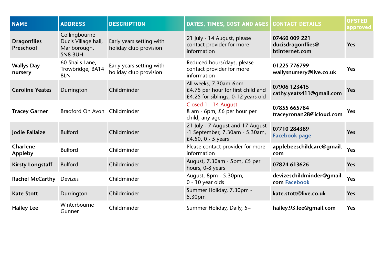| <b>NAME</b>                     | <b>ADDRESS</b>                                                         | <b>DESCRIPTION</b>                                 | DATES, TIMES, COST AND AGES CONTACT DETAILS                                                       |                                                      | <b>OFSTED</b><br>approved |
|---------------------------------|------------------------------------------------------------------------|----------------------------------------------------|---------------------------------------------------------------------------------------------------|------------------------------------------------------|---------------------------|
| <b>Dragonflies</b><br>Preschool | Collingbourne<br>Ducis Village hall,<br>Marlborough,<br><b>SN8 3UH</b> | Early years setting with<br>holiday club provision | 21 July - 14 August, please<br>contact provider for more<br>information                           | 07460 009 221<br>ducisdragonflies@<br>btinternet.com | Yes                       |
| <b>Wallys Day</b><br>nursery    | 60 Shails Lane,<br>Trowbridge, BA14<br>8LN                             | Early years setting with<br>holiday club provision | Reduced hours/days, please<br>contact provider for more<br>information                            | 01225 776799<br>wallysnursery@live.co.uk             | Yes                       |
| <b>Caroline Yeates</b>          | Durrington                                                             | Childminder                                        | All weeks, 7.30am-6pm<br>£4.75 per hour for first child and<br>£4.25 for siblings, 0-12 years old | 07906 123415<br>cathy.yeats411@gmail.com             | Yes                       |
| <b>Tracey Garner</b>            | Bradford On Avon Childminder                                           |                                                    | Closed 1 - 14 August<br>8 am - 6pm, £6 per hour per<br>child, any age                             | 07855 665784<br>traceyronan28@icloud.com             | Yes                       |
| Jodie Fallaize                  | <b>Bulford</b>                                                         | Childminder                                        | 21 July - 7 August and 17 August<br>-1 September, 7.30am - 5.30am,<br>£4.50, 0 - 5 years          | 07710 284389<br><b>Facebook page</b>                 | Yes                       |
| Charlene<br><b>Appleby</b>      | <b>Bulford</b>                                                         | Childminder                                        | Please contact provider for more<br>information                                                   | applebeeschildcare@gmail.<br>com                     | Yes                       |
| <b>Kirsty Longstaff</b>         | <b>Bulford</b>                                                         | Childminder                                        | August, 7.30am - 5pm, £5 per<br>hours, 0-8 years                                                  | 07824 613626                                         | Yes                       |
| <b>Rachel McCarthy</b>          | <b>Devizes</b>                                                         | Childminder                                        | August, 8pm - 5.30pm,<br>0 - 10 year olds                                                         | devizeschildminder@gmail.<br>com Facebook            | Yes                       |
| <b>Kate Stott</b>               | Durrington                                                             | Childminder                                        | Summer Holiday, 7.30pm -<br>5.30pm                                                                | kate.stott@live.co.uk                                | Yes                       |
| <b>Hailey Lee</b>               | Winterbourne<br>Gunner                                                 | Childminder                                        | Summer Holiday, Daily, 5+                                                                         | hailey.93.lee@gmail.com                              | Yes                       |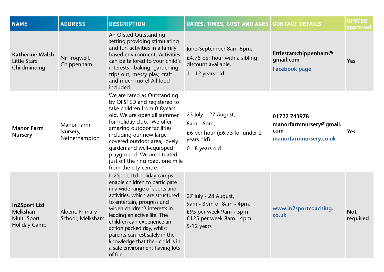| <b>NAME</b>                                                           | <b>ADDRESS</b>                                 | <b>DESCRIPTION</b>                                                                                                                                                                                                                                                                                                                                                                                            | DATES, TIMES, COST AND AGES                                                                                        | <b>CONTACT DETAILS</b>                                                   | <b>OFSTED</b><br>approved |
|-----------------------------------------------------------------------|------------------------------------------------|---------------------------------------------------------------------------------------------------------------------------------------------------------------------------------------------------------------------------------------------------------------------------------------------------------------------------------------------------------------------------------------------------------------|--------------------------------------------------------------------------------------------------------------------|--------------------------------------------------------------------------|---------------------------|
| <b>Katherine Walsh</b><br>Little Stars<br>Childminding                | Nr Frogwell,<br>Chippenham                     | An Ofsted Outstanding<br>setting providing stimulating<br>and fun activities in a family<br>based environment. Activities<br>can be tailored to your child's<br>interests - baking, gardening,<br>trips out, messy play, craft<br>and much more! All food<br>included.                                                                                                                                        | June-September 8am-6pm,<br>£4.75 per hour with a sibling<br>discount available,<br>1 - 12 years old                | littlestarschippenham@<br>gmail.com<br><b>Facebook page</b>              | Yes                       |
| <b>Manor Farm</b><br><b>Nursery</b>                                   | <b>Manor Farm</b><br>Nursery,<br>Netherhampton | We are rated as Outstanding<br>by OFSTED and registered to<br>take children from 0-8years<br>old. We are open all summer<br>for holiday club. We offer<br>amazing outdoor facilities<br>including our new large<br>covered outdoor area, lovely<br>garden and well-equipped<br>playground. We are situated<br>just off the ring road, one mile<br>from the city centre.                                       | 23 July $-$ 27 August,<br>8am - 6pm,<br>£6 per hour $(E6.75)$ for under 2<br>years old)<br>0 - 8 years old         | 01722 743978<br>manorfarmnursery@gmail.<br>com<br>manorfarmnursery.co.uk | <b>Yes</b>                |
| <b>In2Sport Ltd</b><br>Melksham<br>Multi-Sport<br><b>Holiday Camp</b> | <b>Aloeric Primary</b><br>School, Melksham     | In2Sport Ltd holiday camps<br>enable children to participate<br>in a wide range of sports and<br>activities, which are structured<br>to entertain, progress and<br>widen children's interests in<br>leading an active life! The<br>children can experience an<br>action packed day, whilst<br>parents can rest safely in the<br>knowledge that their child is in<br>a safe environment having lots<br>of fun. | 27 July - 28 August,<br>9am - 3pm or 8am - 4pm,<br>£95 per week 9am - 3pm<br>£125 per week 8am - 4pm<br>5-12 years | www.in2sportcoaching.<br>co.uk                                           | <b>Not</b><br>required    |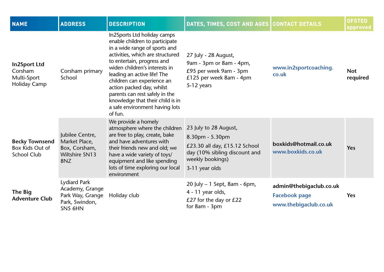| <b>NAME</b>                                                          | <b>ADDRESS</b>                                                                          | <b>DESCRIPTION</b>                                                                                                                                                                                                                                                                                                                                                                                             | DATES, TIMES, COST AND AGES CONTACT DETAILS                                                                                                      |                                                                          | <b>OFSTED</b><br>approved |
|----------------------------------------------------------------------|-----------------------------------------------------------------------------------------|----------------------------------------------------------------------------------------------------------------------------------------------------------------------------------------------------------------------------------------------------------------------------------------------------------------------------------------------------------------------------------------------------------------|--------------------------------------------------------------------------------------------------------------------------------------------------|--------------------------------------------------------------------------|---------------------------|
| <b>In2Sport Ltd</b><br>Corsham<br>Multi-Sport<br><b>Holiday Camp</b> | Corsham primary<br>School                                                               | In2Sports Ltd holiday camps<br>enable children to participate<br>in a wide range of sports and<br>activities, which are structured<br>to entertain, progress and<br>widen children's interests in<br>leading an active life! The<br>children can experience an<br>action packed day, whilst<br>parents can rest safely in the<br>knowledge that their child is in<br>a safe environment having lots<br>of fun. | 27 July - 28 August,<br>9am - 3pm or 8am - 4pm,<br>£95 per week 9am - 3pm<br>£125 per week 8am - 4pm<br>5-12 years                               | www.in2sportcoaching.<br>co.uk                                           | <b>Not</b><br>required    |
| <b>Becky Townsend</b><br>Box Kids Out of<br><b>School Club</b>       | Jubilee Centre,<br>Market Place,<br>Box, Corsham,<br>Wiltshire SN13<br>8NZ              | We provide a homely<br>atmosphere where the children<br>are free to play, create, bake<br>and have adventures with<br>their friends new and old; we<br>have a wide variety of toys/<br>equipment and like spending<br>lots of time exploring our local<br>environment                                                                                                                                          | 23 July to 28 August,<br>8.30pm - 5.30pm<br>£23.30 all day, £15.12 School<br>day (10% sibling discount and<br>weekly bookings)<br>3-11 year olds | boxkids@hotmail.co.uk<br>www.boxkids.co.uk                               | Yes                       |
| <b>The Big</b><br><b>Adventure Club</b>                              | <b>Lydiard Park</b><br>Academy, Grange<br>Park Way, Grange<br>Park, Swindon,<br>SN5 6HN | Holiday club                                                                                                                                                                                                                                                                                                                                                                                                   | 20 July - 1 Sept, 8am - 6pm,<br>4 - 11 year olds,<br>£27 for the day or £22<br>for 8am - 3pm                                                     | admin@thebigaclub.co.uk<br><b>Facebook page</b><br>www.thebigaclub.co.uk | Yes                       |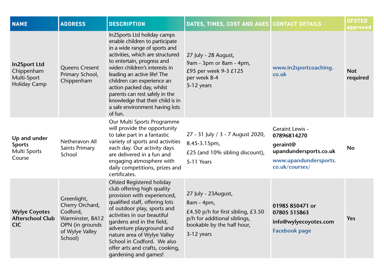| <b>NAME</b>                                                             | <b>ADDRESS</b>                                                                                                  | <b>DESCRIPTION</b>                                                                                                                                                                                                                                                                                                                                                                                             | DATES, TIMES, COST AND AGES   CONTACT DETAILS                                                                                                         |                                                                                                                 | <b>OFSTED</b><br>approved |
|-------------------------------------------------------------------------|-----------------------------------------------------------------------------------------------------------------|----------------------------------------------------------------------------------------------------------------------------------------------------------------------------------------------------------------------------------------------------------------------------------------------------------------------------------------------------------------------------------------------------------------|-------------------------------------------------------------------------------------------------------------------------------------------------------|-----------------------------------------------------------------------------------------------------------------|---------------------------|
| <b>In2Sport Ltd</b><br>Chippenham<br>Multi-Sport<br><b>Holiday Camp</b> | <b>Queens Cresent</b><br>Primary School,<br>Chippenham                                                          | In2Sports Ltd holiday camps<br>enable children to participate<br>in a wide range of sports and<br>activities, which are structured<br>to entertain, progress and<br>widen children's interests in<br>leading an active life! The<br>children can experience an<br>action packed day, whilst<br>parents can rest safely in the<br>knowledge that their child is in<br>a safe environment having lots<br>of fun. | 27 July - 28 August,<br>9am - 3pm or 8am - 4pm,<br>£95 per week 9-3 £125<br>per week 8-4<br>5-12 years                                                | www.in2sportcoaching.<br>co.uk                                                                                  | <b>Not</b><br>required    |
| Up and under<br><b>Sports</b><br>Multi Sports<br>Course                 | Netheravon All<br><b>Saints Primary</b><br>School                                                               | Our Multi Sports Programme<br>will provide the opportunity<br>to take part in a fantastic<br>variety of sports and activities<br>each day. Our activity days<br>are delivered in a fun and<br>engaging atmosphere with<br>daily competitions, prizes and<br>certificates.                                                                                                                                      | 27 - 31 July / 3 - 7 August 2020,<br>8.45-3.15pm,<br>£25 (and 10% sibling discount),<br>5-11 Years                                                    | Geraint Lewis -<br>07896814270<br>geraint@<br>upandundersports.co.uk<br>www.upandundersports.<br>co.uk/courses/ | <b>No</b>                 |
| <b>Wylye Coyotes</b><br><b>Afterschool Club</b><br><b>CIC</b>           | Greenlight,<br>Cherry Orchard,<br>Codford,<br>Warminster, BA12<br>OPN (in grounds<br>of Wylye Valley<br>School) | <b>Ofsted Registered holiday</b><br>club offering high quality<br>provision with experienced,<br>qualified staff, offering lots<br>of outdoor play, sports and<br>activities in our beautiful<br>gardens and in the field,<br>adventure playground and<br>nature area of Wylye Valley<br>School in Codford. We also<br>offer arts and crafts, cooking,<br>gardening and games!                                 | 27 July - 23August,<br>8am - 4pm,<br>£4.50 p/h for first sibling, $£3.50$<br>p/h for additional siblings,<br>bookable by the half hour,<br>3-12 years | 01985 850471 or<br>07805 515863<br>info@wylyecoyotes.com<br><b>Facebook page</b>                                | Yes                       |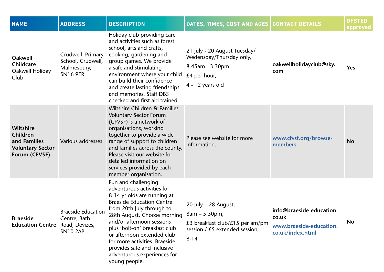| <b>NAME</b>                                                                              | <b>ADDRESS</b>                                                          | <b>DESCRIPTION</b>                                                                                                                                                                                                                                                                                                                                                                           | DATES, TIMES, COST AND AGES CONTACT DETAILS                                                                                  |                                                                                  | <b>OFSTED</b><br>approved |
|------------------------------------------------------------------------------------------|-------------------------------------------------------------------------|----------------------------------------------------------------------------------------------------------------------------------------------------------------------------------------------------------------------------------------------------------------------------------------------------------------------------------------------------------------------------------------------|------------------------------------------------------------------------------------------------------------------------------|----------------------------------------------------------------------------------|---------------------------|
| <b>Oakwell</b><br><b>Childcare</b><br>Oakwell Holiday<br>Club                            | Crudwell Primary<br>School, Crudwell,<br>Malmesbury,<br><b>SN16 9ER</b> | Holiday club providing care<br>and activities such as forest<br>school, arts and crafts,<br>cooking, gardening and<br>group games. We provide<br>a safe and stimulating<br>environment where your child<br>can build their confidence<br>and create lasting friendships<br>and memories. Staff DBS<br>checked and first aid trained.                                                         | 21 July - 20 August Tuesday/<br>Wedensday/Thursday only,<br>8.45am - 3.30pm<br>£4 per hour,<br>4 - 12 years old              | oakwellholidayclub@sky.<br>com                                                   | Yes                       |
| <b>Wiltshire</b><br>Children<br>and Families<br><b>Voluntary Sector</b><br>Forum (CFVSF) | Various addresses                                                       | Wiltshire Children & Families<br><b>Voluntary Sector Forum</b><br>(CFVSF) is a network of<br>organisations, working<br>together to provide a wide<br>range of support to children<br>and families across the county.<br>Please visit our website for<br>detailed information on<br>services provided by each<br>member organisation.                                                         | Please see website for more<br>information.                                                                                  | www.cfvsf.org/browse-<br>members                                                 | <b>No</b>                 |
| <b>Braeside</b><br><b>Education Centre</b> Road, Devizes,                                | <b>Braeside Education</b><br>Centre, Bath<br><b>SN10 2AP</b>            | Fun and challenging<br>adventurous activities for<br>8-14 yr olds are running at<br><b>Braeside Education Centre</b><br>from 20th July through to<br>28th August. Choose morning<br>and/or afternoon sessions<br>plus 'bolt-on' breakfast club<br>or afternoon extended club<br>for more activities. Braeside<br>provides safe and inclusive<br>adventurous experiences for<br>young people. | 20 July $-$ 28 August,<br>$8am - 5.30pm,$<br>£3 breakfast club/£15 per am/pm<br>session / $£5$ extended session,<br>$8 - 14$ | info@braeside-education.<br>co.uk<br>www.braeside-education.<br>co.uk/index.html | <b>No</b>                 |